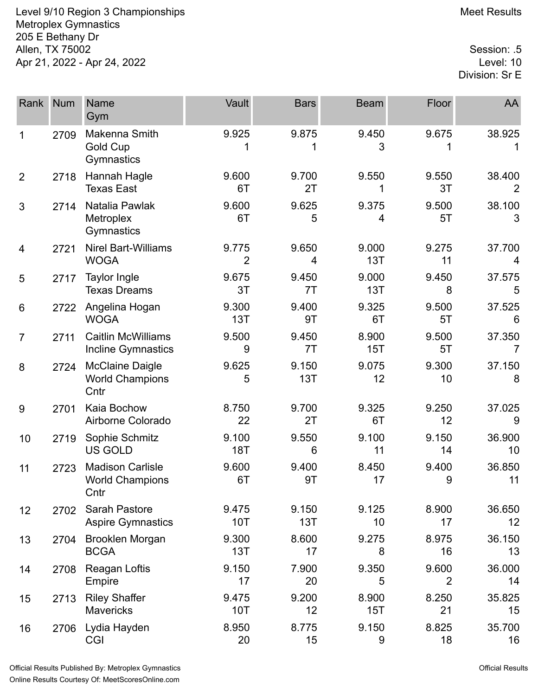Level 9/10 Region 3 Championships Meet Results Metroplex Gymnastics 205 E Bethany Dr Allen, TX 75002 Session: .5 Apr 21, 2022 - Apr 24, 2022

Division: Sr E

| Rank           | <b>Num</b> | <b>Name</b><br>Gym                                        | Vault               | <b>Bars</b>  | <b>Beam</b>  | Floor                   | AA           |
|----------------|------------|-----------------------------------------------------------|---------------------|--------------|--------------|-------------------------|--------------|
| 1              | 2709       | Makenna Smith<br><b>Gold Cup</b><br>Gymnastics            | 9.925               | 9.875        | 9.450<br>3   | 9.675                   | 38.925<br>1  |
| $\overline{2}$ | 2718       | Hannah Hagle<br><b>Texas East</b>                         | 9.600<br>6T         | 9.700<br>2T  | 9.550<br>1   | 9.550<br>3T             | 38.400<br>2  |
| 3              | 2714       | Natalia Pawlak<br>Metroplex<br>Gymnastics                 | 9.600<br>6T         | 9.625<br>5   | 9.375<br>4   | 9.500<br>5T             | 38.100<br>3  |
| 4              | 2721       | <b>Nirel Bart-Williams</b><br><b>WOGA</b>                 | 9.775<br>2          | 9.650<br>4   | 9.000<br>13T | 9.275<br>11             | 37.700<br>4  |
| 5              | 2717       | <b>Taylor Ingle</b><br><b>Texas Dreams</b>                | 9.675<br>3T         | 9.450<br>7T  | 9.000<br>13T | 9.450<br>8              | 37.575<br>5  |
| 6              | 2722       | Angelina Hogan<br><b>WOGA</b>                             | 9.300<br>13T        | 9.400<br>9T  | 9.325<br>6T  | 9.500<br>5T             | 37.525<br>6  |
| $\overline{7}$ | 2711       | <b>Caitlin McWilliams</b><br>Incline Gymnastics           | 9.500<br>9          | 9.450<br>7T  | 8.900<br>15T | 9.500<br>5T             | 37.350<br>7  |
| 8              | 2724       | <b>McClaine Daigle</b><br><b>World Champions</b><br>Cntr  | 9.625<br>5          | 9.150<br>13T | 9.075<br>12  | 9.300<br>10             | 37.150<br>8  |
| 9              | 2701       | Kaia Bochow<br>Airborne Colorado                          | 8.750<br>22         | 9.700<br>2T  | 9.325<br>6T  | 9.250<br>12             | 37.025<br>9  |
| 10             | 2719       | Sophie Schmitz<br>US GOLD                                 | 9.100<br><b>18T</b> | 9.550<br>6   | 9.100<br>11  | 9.150<br>14             | 36.900<br>10 |
| 11             | 2723       | <b>Madison Carlisle</b><br><b>World Champions</b><br>Cntr | 9.600<br>6T         | 9.400<br>9T  | 8.450<br>17  | 9.400<br>9              | 36.850<br>11 |
| 12             | 2702       | Sarah Pastore<br><b>Aspire Gymnastics</b>                 | 9.475<br><b>10T</b> | 9.150<br>13T | 9.125<br>10  | 8.900<br>17             | 36.650<br>12 |
| 13             | 2704       | Brooklen Morgan<br><b>BCGA</b>                            | 9.300<br>13T        | 8.600<br>17  | 9.275<br>8   | 8.975<br>16             | 36.150<br>13 |
| 14             | 2708       | Reagan Loftis<br>Empire                                   | 9.150<br>17         | 7.900<br>20  | 9.350<br>5   | 9.600<br>$\overline{2}$ | 36.000<br>14 |
| 15             | 2713       | <b>Riley Shaffer</b><br><b>Mavericks</b>                  | 9.475<br><b>10T</b> | 9.200<br>12  | 8.900<br>15T | 8.250<br>21             | 35.825<br>15 |
| 16             | 2706       | Lydia Hayden<br>CGI                                       | 8.950<br>20         | 8.775<br>15  | 9.150<br>9   | 8.825<br>18             | 35.700<br>16 |